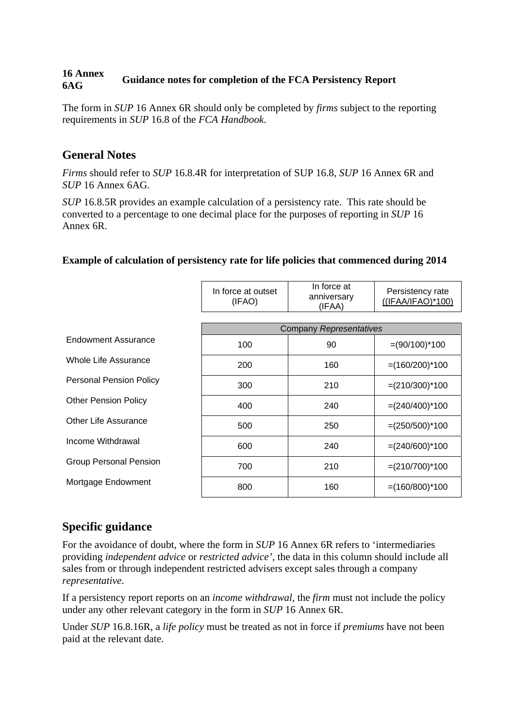#### **16 Annex 6AG Guidance notes for completion of the FCA Persistency Report**

The form in *SUP* 16 Annex 6R should only be completed by *firms* subject to the reporting requirements in *SUP* 16.8 of the *FCA Handbook*.

## **General Notes**

*Firms* should refer to *SUP* 16.8.4R for interpretation of SUP 16.8, *SUP* 16 Annex 6R and *SUP* 16 Annex 6AG*.*

*SUP* 16.8.5R provides an example calculation of a persistency rate. This rate should be converted to a percentage to one decimal place for the purposes of reporting in *SUP* 16 Annex 6R.

#### **Example of calculation of persistency rate for life policies that commenced during 2014**

|                                | In force at outset<br>(IFAO) | In force at<br>anniversary<br>(IFAA) | Persistency rate<br>$((IFAA/IFAO)*100)$ |
|--------------------------------|------------------------------|--------------------------------------|-----------------------------------------|
|                                |                              |                                      |                                         |
| Endowment Assurance            |                              | <b>Company Representatives</b>       |                                         |
|                                | 100                          | 90                                   | $=(90/100)^*100$                        |
| Whole Life Assurance           | 200                          | 160                                  | $=(160/200)^*100$                       |
| <b>Personal Pension Policy</b> | 300                          | 210                                  | $=(210/300)^*100$                       |
| <b>Other Pension Policy</b>    | 400                          | 240                                  | $=(240/400)^*100$                       |
| Other Life Assurance           | 500                          | 250                                  | $=(250/500)^*100$                       |
| Income Withdrawal              | 600                          | 240                                  | $=(240/600)^*100$                       |
| <b>Group Personal Pension</b>  | 700                          | 210                                  | $=(210/700)^*100$                       |
| Mortgage Endowment             | 800                          | 160                                  | $=(160/800)^*100$                       |

## **Specific guidance**

For the avoidance of doubt, where the form in *SUP* 16 Annex 6R refers to 'intermediaries providing *independent advice* or *restricted advice'*, the data in this column should include all sales from or through independent restricted advisers except sales through a company *representative*.

If a persistency report reports on an *income withdrawal,* the *firm* must not include the policy under any other relevant category in the form in *SUP* 16 Annex 6R.

Under *SUP* 16.8.16R, a *life policy* must be treated as not in force if *premiums* have not been paid at the relevant date.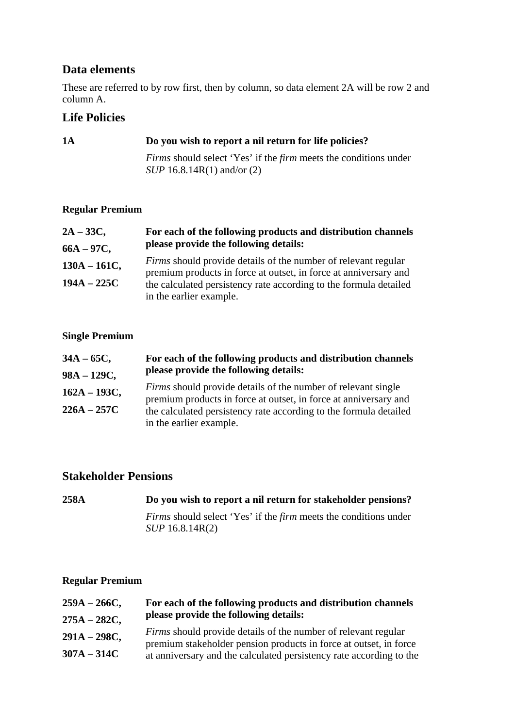# **Data elements**

These are referred to by row first, then by column, so data element 2A will be row 2 and column A.

# **Life Policies**

## **1A Do you wish to report a nil return for life policies?**

*Firms* should select 'Yes' if the *firm* meets the conditions under *SUP* 16.8.14R(1) and/or (2)

#### **Regular Premium**

| $2A - 33C$ ,    | For each of the following products and distribution channels                                                                              |
|-----------------|-------------------------------------------------------------------------------------------------------------------------------------------|
| $66A - 97C$ ,   | please provide the following details:                                                                                                     |
| $130A - 161C$ , | <i>Firms</i> should provide details of the number of relevant regular<br>premium products in force at outset, in force at anniversary and |
| $194A - 225C$   | the calculated persistency rate according to the formula detailed<br>in the earlier example.                                              |

## **Single Premium**

| $34A - 65C$ ,   | For each of the following products and distribution channels                                                                             |
|-----------------|------------------------------------------------------------------------------------------------------------------------------------------|
| $98A - 129C$ ,  | please provide the following details:                                                                                                    |
| $162A - 193C$ , | <i>Firms</i> should provide details of the number of relevant single<br>premium products in force at outset, in force at anniversary and |
| $226A - 257C$   | the calculated persistency rate according to the formula detailed                                                                        |
|                 | in the earlier example.                                                                                                                  |

# **Stakeholder Pensions**

| 258A | Do you wish to report a nil return for stakeholder pensions?                                      |
|------|---------------------------------------------------------------------------------------------------|
|      | <i>Firms</i> should select 'Yes' if the <i>firm</i> meets the conditions under<br>SUP 16.8.14R(2) |

### **Regular Premium**

| $259A - 266C$ , | For each of the following products and distribution channels                                                                               |
|-----------------|--------------------------------------------------------------------------------------------------------------------------------------------|
| $275A - 282C$ , | please provide the following details:                                                                                                      |
| $291A - 298C$ , | <i>Firms</i> should provide details of the number of relevant regular<br>premium stakeholder pension products in force at outset, in force |
| $307A - 314C$   | at anniversary and the calculated persistency rate according to the                                                                        |